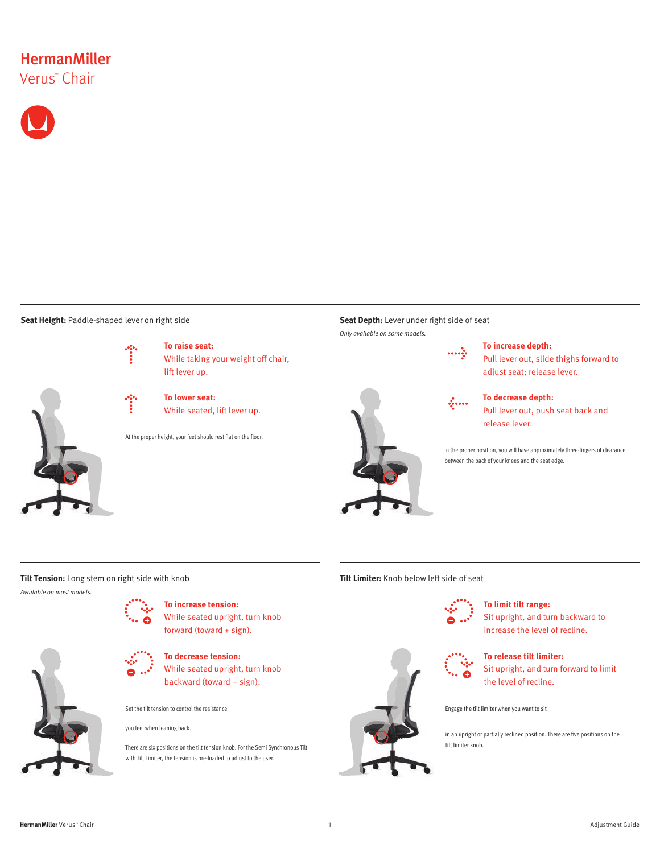# **HermanMiller** Verus™ Chair



**Seat Height:** Paddle-shaped lever on right side

оb.



**To raise seat:** While taking your weight off chair, lift lever up.

**To lower seat:** While seated, lift lever up.

At the proper height, your feet should rest flat on the floor.

**Seat Depth:** Lever under right side of seat Only available on some models.

 $\cdots$ 

 $\mathcal{L}_{\text{max}}$ 



## **To increase depth:**

Pull lever out, slide thighs forward to adjust seat; release lever.

**To decrease depth:**  Pull lever out, push seat back and release lever.

In the proper position, you will have approximately three-fingers of clearance between the back of your knees and the seat edge.

## **Tilt Tension:** Long stem on right side with knob **The Community of the Community Community** Tilt Limiter: Knob below left side of seat

Available on most models.



**To increase tension:** While seated upright, turn knob

forward (toward + sign).

**To decrease tension:**

While seated upright, turn knob backward (toward – sign).

Set the tilt tension to control the resistance

you feel when leaning back.

There are six positions on the tilt tension knob. For the Semi Synchronous Tilt with Tilt Limiter, the tension is pre-loaded to adjust to the user.



## **To limit tilt range:**

Sit upright, and turn backward to increase the level of recline.



## **To release tilt limiter:**

Sit upright, and turn forward to limit the level of recline.

Engage the tilt limiter when you want to sit

in an upright or partially reclined position. There are five positions on the tilt limiter knob.